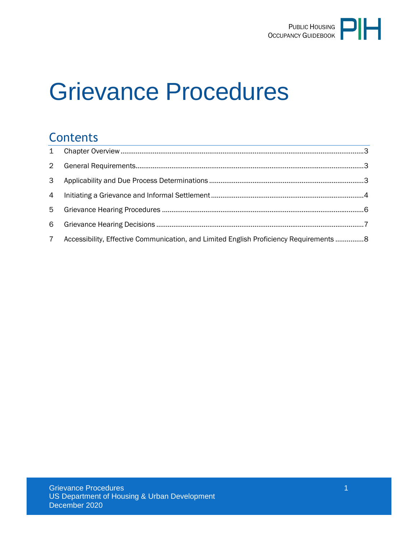

# Grievance Procedures

#### **Contents**

| $2^{\circ}$    |                                                                                         |  |
|----------------|-----------------------------------------------------------------------------------------|--|
|                |                                                                                         |  |
|                |                                                                                         |  |
|                |                                                                                         |  |
|                |                                                                                         |  |
| $7\phantom{.}$ | Accessibility, Effective Communication, and Limited English Proficiency Requirements  8 |  |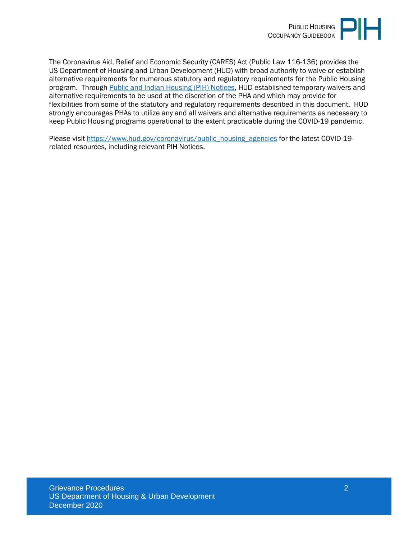

The Coronavirus Aid, Relief and Economic Security (CARES) Act (Public Law 116-136) provides the US Department of Housing and Urban Development (HUD) with broad authority to waive or establish alternative requirements for numerous statutory and regulatory requirements for the Public Housing program. Through [Public and Indian Housing \(PIH\) Notices,](https://www.hud.gov/program_offices/public_indian_housing/publications/notices) HUD established temporary waivers and alternative requirements to be used at the discretion of the PHA and which may provide for flexibilities from some of the statutory and regulatory requirements described in this document. HUD strongly encourages PHAs to utilize any and all waivers and alternative requirements as necessary to keep Public Housing programs operational to the extent practicable during the COVID-19 pandemic.

Please visit [https://www.hud.gov/coronavirus/public\\_housing\\_agencies](https://www.hud.gov/coronavirus/public_housing_agencies) for the latest COVID-19 related resources, including relevant PIH Notices.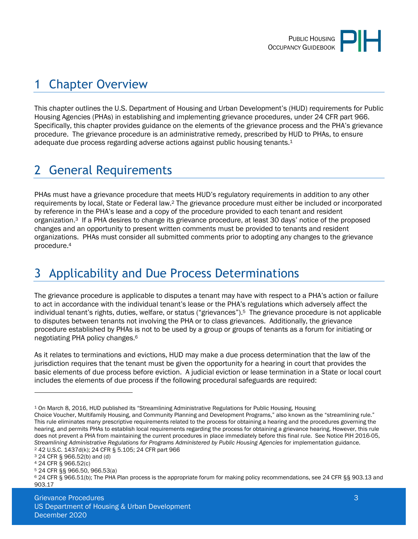

## <span id="page-2-0"></span>1 Chapter Overview

This chapter outlines the U.S. Department of Housing and Urban Development's (HUD) requirements for Public Housing Agencies (PHAs) in establishing and implementing grievance procedures, under 24 CFR part 966. Specifically, this chapter provides guidance on the elements of the grievance process and the PHA's grievance procedure. The grievance procedure is an administrative remedy, prescribed by HUD to PHAs, to ensure adequate due process regarding adverse actions against public housing tenants.<sup>1</sup>

# <span id="page-2-1"></span>2 General Requirements

PHAs must have a grievance procedure that meets HUD's regulatory requirements in addition to any other requirements by local, State or Federal law.2 The grievance procedure must either be included or incorporated by reference in the PHA's lease and a copy of the procedure provided to each tenant and resident organization.3 If a PHA desires to change its grievance procedure, at least 30 days' notice of the proposed changes and an opportunity to present written comments must be provided to tenants and resident organizations. PHAs must consider all submitted comments prior to adopting any changes to the grievance procedure.<sup>4</sup>

# <span id="page-2-2"></span>3 Applicability and Due Process Determinations

The grievance procedure is applicable to disputes a tenant may have with respect to a PHA's action or failure to act in accordance with the individual tenant's lease or the PHA's regulations which adversely affect the individual tenant's rights, duties, welfare, or status ("grievances").5 The grievance procedure is not applicable to disputes between tenants not involving the PHA or to class grievances. Additionally, the grievance procedure established by PHAs is not to be used by a group or groups of tenants as a forum for initiating or negotiating PHA policy changes.<sup>6</sup>

As it relates to terminations and evictions, HUD may make a due process determination that the law of the jurisdiction requires that the tenant must be given the opportunity for a hearing in court that provides the basic elements of due process before eviction. A judicial eviction or lease termination in a State or local court includes the elements of due process if the following procedural safeguards are required:

<sup>1</sup> On March 8, 2016, HUD published its "Streamlining Administrative Regulations for Public Housing, Housing Choice Voucher, Multifamily Housing, and Community Planning and Development Programs," also known as the "streamlining rule." This rule eliminates many prescriptive requirements related to the process for obtaining a hearing and the procedures governing the hearing, and permits PHAs to establish local requirements regarding the process for obtaining a grievance hearing. However, this rule does not prevent a PHA from maintaining the current procedures in place immediately before this final rule. See Notice PIH 2016-05, *Streamlining Administrative Regulations for Programs Administered by Public Housing Agencies* for implementation guidance. <sup>2</sup> 42 U.S.C. 1437d(k); 24 CFR § 5.105; 24 CFR part 966

<sup>3</sup> 24 CFR § 966.52(b) and (d)

<sup>4</sup> 24 CFR § 966.52(c)

<sup>5</sup> 24 CFR §§ 966.50, 966.53(a)

<sup>6</sup> 24 CFR § 966.51(b); The PHA Plan process is the appropriate forum for making policy recommendations, see 24 CFR §§ 903.13 and 903.17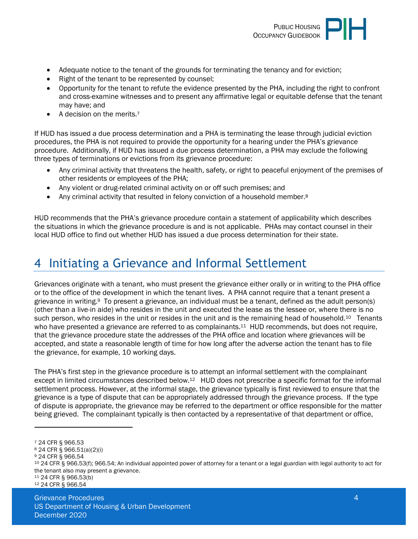

- Adequate notice to the tenant of the grounds for terminating the tenancy and for eviction;
- Right of the tenant to be represented by counsel;
- Opportunity for the tenant to refute the evidence presented by the PHA, including the right to confront and cross-examine witnesses and to present any affirmative legal or equitable defense that the tenant may have; and
- A decision on the merits.<sup>7</sup>

If HUD has issued a due process determination and a PHA is terminating the lease through judicial eviction procedures, the PHA is not required to provide the opportunity for a hearing under the PHA's grievance procedure. Additionally, if HUD has issued a due process determination, a PHA may exclude the following three types of terminations or evictions from its grievance procedure:

- Any criminal activity that threatens the health, safety, or right to peaceful enjoyment of the premises of other residents or employees of the PHA;
- Any violent or drug-related criminal activity on or off such premises; and
- Any criminal activity that resulted in felony conviction of a household member.<sup>8</sup>

HUD recommends that the PHA's grievance procedure contain a statement of applicability which describes the situations in which the grievance procedure is and is not applicable. PHAs may contact counsel in their local HUD office to find out whether HUD has issued a due process determination for their state.

#### <span id="page-3-0"></span>4 Initiating a Grievance and Informal Settlement

Grievances originate with a tenant, who must present the grievance either orally or in writing to the PHA office or to the office of the development in which the tenant lives. A PHA cannot require that a tenant present a grievance in writing.9 To present a grievance, an individual must be a tenant, defined as the adult person(s) (other than a live-in aide) who resides in the unit and executed the lease as the lessee or, where there is no such person, who resides in the unit or resides in the unit and is the remaining head of household.<sup>10</sup> Tenants who have presented a grievance are referred to as complainants.<sup>11</sup> HUD recommends, but does not require, that the grievance procedure state the addresses of the PHA office and location where grievances will be accepted, and state a reasonable length of time for how long after the adverse action the tenant has to file the grievance, for example, 10 working days.

The PHA's first step in the grievance procedure is to attempt an informal settlement with the complainant except in limited circumstances described below.<sup>12</sup> HUD does not prescribe a specific format for the informal settlement process. However, at the informal stage, the grievance typically is first reviewed to ensure that the grievance is a type of dispute that can be appropriately addressed through the grievance process. If the type of dispute is appropriate, the grievance may be referred to the department or office responsible for the matter being grieved. The complainant typically is then contacted by a representative of that department or office,

- <sup>8</sup> 24 CFR § 966.51(a)(2)(i)
- <sup>9</sup> 24 CFR § 966.54

<sup>7</sup> 24 CFR § 966.53

<sup>10</sup> 24 CFR § 966.53(f); 966.54; An individual appointed power of attorney for a tenant or a legal guardian with legal authority to act for the tenant also may present a grievance.

<sup>11</sup> 24 CFR § 966.53(b) 12 24 CFR § 966.54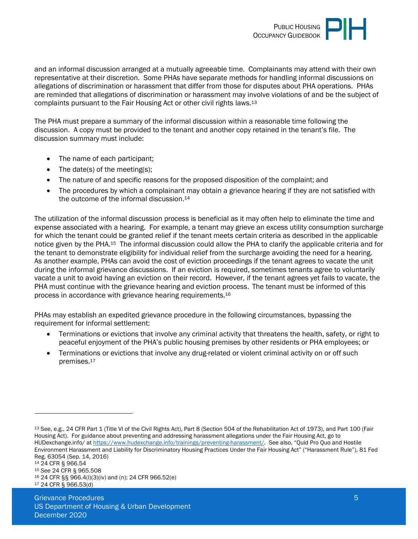

and an informal discussion arranged at a mutually agreeable time. Complainants may attend with their own representative at their discretion. Some PHAs have separate methods for handling informal discussions on allegations of discrimination or harassment that differ from those for disputes about PHA operations. PHAs are reminded that allegations of discrimination or harassment may involve violations of and be the subject of complaints pursuant to the Fair Housing Act or other civil rights laws.<sup>13</sup>

The PHA must prepare a summary of the informal discussion within a reasonable time following the discussion. A copy must be provided to the tenant and another copy retained in the tenant's file. The discussion summary must include:

- The name of each participant:
- $\bullet$  The date(s) of the meeting(s);
- The nature of and specific reasons for the proposed disposition of the complaint; and
- The procedures by which a complainant may obtain a grievance hearing if they are not satisfied with the outcome of the informal discussion.<sup>14</sup>

The utilization of the informal discussion process is beneficial as it may often help to eliminate the time and expense associated with a hearing. For example, a tenant may grieve an excess utility consumption surcharge for which the tenant could be granted relief if the tenant meets certain criteria as described in the applicable notice given by the PHA.15 The informal discussion could allow the PHA to clarify the applicable criteria and for the tenant to demonstrate eligibility for individual relief from the surcharge avoiding the need for a hearing. As another example, PHAs can avoid the cost of eviction proceedings if the tenant agrees to vacate the unit during the informal grievance discussions. If an eviction is required, sometimes tenants agree to voluntarily vacate a unit to avoid having an eviction on their record. However, if the tenant agrees yet fails to vacate, the PHA must continue with the grievance hearing and eviction process. The tenant must be informed of this process in accordance with grievance hearing requirements.<sup>16</sup>

PHAs may establish an expedited grievance procedure in the following circumstances, bypassing the requirement for informal settlement:

- Terminations or evictions that involve any criminal activity that threatens the health, safety, or right to peaceful enjoyment of the PHA's public housing premises by other residents or PHA employees; or
- Terminations or evictions that involve any drug-related or violent criminal activity on or off such premises.<sup>17</sup>

<sup>13</sup> See, e.g., 24 CFR Part 1 (Title VI of the Civil Rights Act), Part 8 (Section 504 of the Rehabilitation Act of 1973), and Part 100 (Fair Housing Act). For guidance about preventing and addressing harassment allegations under the Fair Housing Act, go to HUDexchange.info/ a[t https://www.hudexchange.info/trainings/preventing-harassment/.](https://www.hudexchange.info/trainings/preventing-harassment/) See also, "Quid Pro Quo and Hostile Environment Harassment and Liability for Discriminatory Housing Practices Under the Fair Housing Act" ("Harassment Rule"), 81 Fed Reg. 63054 (Sep. 14, 2016)

<sup>15</sup> *See* 24 CFR § 965.508

<sup>16</sup> 24 CFR §§ 966.4(l)(3)(iv) and (n); 24 CFR 966.52(e) 17 24 CFR § 966.53(d)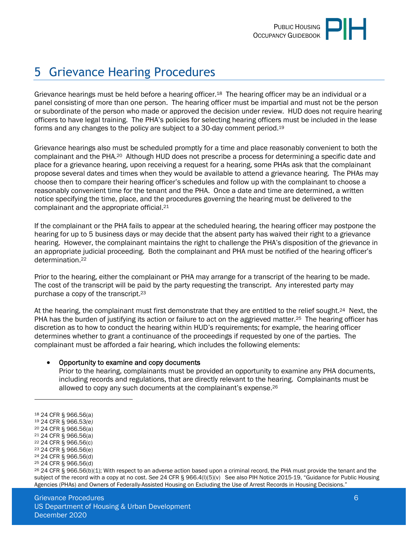

# <span id="page-5-0"></span>5 Grievance Hearing Procedures

Grievance hearings must be held before a hearing officer.<sup>18</sup> The hearing officer may be an individual or a panel consisting of more than one person. The hearing officer must be impartial and must not be the person or subordinate of the person who made or approved the decision under review. HUD does not require hearing officers to have legal training. The PHA's policies for selecting hearing officers must be included in the lease forms and any changes to the policy are subject to a 30-day comment period.<sup>19</sup>

Grievance hearings also must be scheduled promptly for a time and place reasonably convenient to both the complainant and the PHA.20 Although HUD does not prescribe a process for determining a specific date and place for a grievance hearing, upon receiving a request for a hearing, some PHAs ask that the complainant propose several dates and times when they would be available to attend a grievance hearing. The PHAs may choose then to compare their hearing officer's schedules and follow up with the complainant to choose a reasonably convenient time for the tenant and the PHA. Once a date and time are determined, a written notice specifying the time, place, and the procedures governing the hearing must be delivered to the complainant and the appropriate official.<sup>21</sup>

If the complainant or the PHA fails to appear at the scheduled hearing, the hearing officer may postpone the hearing for up to 5 business days or may decide that the absent party has waived their right to a grievance hearing. However, the complainant maintains the right to challenge the PHA's disposition of the grievance in an appropriate judicial proceeding. Both the complainant and PHA must be notified of the hearing officer's determination.<sup>22</sup>

Prior to the hearing, either the complainant or PHA may arrange for a transcript of the hearing to be made. The cost of the transcript will be paid by the party requesting the transcript. Any interested party may purchase a copy of the transcript.<sup>23</sup>

At the hearing, the complainant must first demonstrate that they are entitled to the relief sought.24 Next, the PHA has the burden of justifying its action or failure to act on the aggrieved matter.<sup>25</sup> The hearing officer has discretion as to how to conduct the hearing within HUD's requirements; for example, the hearing officer determines whether to grant a continuance of the proceedings if requested by one of the parties. The complainant must be afforded a fair hearing, which includes the following elements:

#### Opportunity to examine and copy documents

Prior to the hearing, complainants must be provided an opportunity to examine any PHA documents, including records and regulations, that are directly relevant to the hearing. Complainants must be allowed to copy any such documents at the complainant's expense.<sup>26</sup>

<sup>18</sup> 24 CFR § 966.56(a)

- <sup>19</sup> 24 CFR § 966.53*(e)*
- <sup>20</sup> 24 CFR § 966.56(a)
- <sup>21</sup> 24 CFR § 966.56(a)
- <sup>22</sup> 24 CFR § 966.56(c) <sup>23</sup> 24 CFR § 966.56(e)

<sup>24</sup> 24 CFR § 966.56(d)

<sup>25</sup> 24 CFR § 966.56(d)

<sup>26</sup> 24 CFR § 966.56(b)(1); With respect to an adverse action based upon a criminal record, the PHA must provide the tenant and the subject of the record with a copy at no cost. *See* 24 CFR § 966.4(l)(5)(v) See also PIH Notice 2015-19, "Guidance for Public Housing Agencies (PHAs) and Owners of Federally-Assisted Housing on Excluding the Use of Arrest Records in Housing Decisions."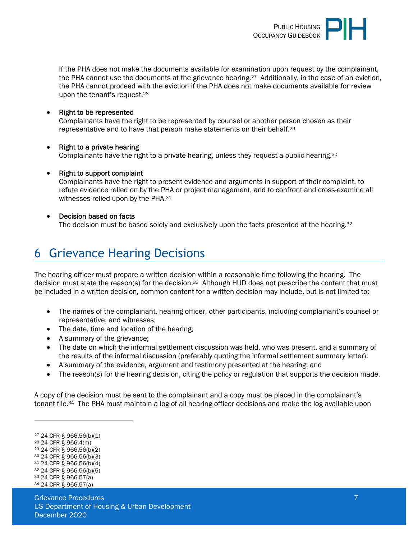

If the PHA does not make the documents available for examination upon request by the complainant, the PHA cannot use the documents at the grievance hearing.27 Additionally, in the case of an eviction, the PHA cannot proceed with the eviction if the PHA does not make documents available for review upon the tenant's request.<sup>28</sup>

• Right to be represented

Complainants have the right to be represented by counsel or another person chosen as their representative and to have that person make statements on their behalf.<sup>29</sup>

- Right to a private hearing Complainants have the right to a private hearing, unless they request a public hearing.<sup>30</sup>
- Right to support complaint

Complainants have the right to present evidence and arguments in support of their complaint, to refute evidence relied on by the PHA or project management, and to confront and cross-examine all witnesses relied upon by the PHA.<sup>31</sup>

• Decision based on facts The decision must be based solely and exclusively upon the facts presented at the hearing.<sup>32</sup>

#### <span id="page-6-0"></span>6 Grievance Hearing Decisions

The hearing officer must prepare a written decision within a reasonable time following the hearing. The decision must state the reason(s) for the decision.<sup>33</sup> Although HUD does not prescribe the content that must be included in a written decision, common content for a written decision may include, but is not limited to:

- The names of the complainant, hearing officer, other participants, including complainant's counsel or representative, and witnesses;
- The date, time and location of the hearing:
- A summary of the grievance:
- The date on which the informal settlement discussion was held, who was present, and a summary of the results of the informal discussion (preferably quoting the informal settlement summary letter);
- A summary of the evidence, argument and testimony presented at the hearing; and
- The reason(s) for the hearing decision, citing the policy or regulation that supports the decision made.

A copy of the decision must be sent to the complainant and a copy must be placed in the complainant's tenant file.34 The PHA must maintain a log of all hearing officer decisions and make the log available upon

 24 CFR § 966.56(b)(1) 24 CFR § 966.4(m) 24 CFR § 966.56(b)(2) 24 CFR § 966.56(b)(3) 24 CFR § 966.56(b)(4) 24 CFR § 966.56(b)(5) 24 CFR § 966.57(a) 24 CFR § 966.57(a)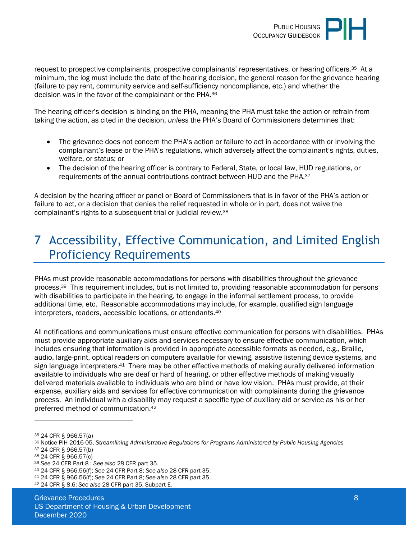

request to prospective complainants, prospective complainants' representatives, or hearing officers.35 At a minimum, the log must include the date of the hearing decision, the general reason for the grievance hearing (failure to pay rent, community service and self-sufficiency noncompliance, etc.) and whether the decision was in the favor of the complainant or the PHA.<sup>36</sup>

The hearing officer's decision is binding on the PHA, meaning the PHA must take the action or refrain from taking the action, as cited in the decision, *unless* the PHA's Board of Commissioners determines that:

- The grievance does not concern the PHA's action or failure to act in accordance with or involving the complainant's lease or the PHA's regulations, which adversely affect the complainant's rights, duties, welfare, or status; or
- The decision of the hearing officer is contrary to Federal, State, or local law, HUD regulations, or requirements of the annual contributions contract between HUD and the PHA.<sup>37</sup>

A decision by the hearing officer or panel or Board of Commissioners that is in favor of the PHA's action or failure to act, or a decision that denies the relief requested in whole or in part, does not waive the complainant's rights to a subsequent trial or judicial review.<sup>38</sup>

### <span id="page-7-0"></span>7 Accessibility, Effective Communication, and Limited English Proficiency Requirements

PHAs must provide reasonable accommodations for persons with disabilities throughout the grievance process.39 This requirement includes, but is not limited to, providing reasonable accommodation for persons with disabilities to participate in the hearing, to engage in the informal settlement process, to provide additional time, etc. Reasonable accommodations may include, for example, qualified sign language interpreters, readers, accessible locations, or attendants.<sup>40</sup>

All notifications and communications must ensure effective communication for persons with disabilities. PHAs must provide appropriate auxiliary aids and services necessary to ensure effective communication, which includes ensuring that information is provided in appropriate accessible formats as needed, e.g., Braille, audio, large-print, optical readers on computers available for viewing, assistive listening device systems, and sign language interpreters.<sup>41</sup> There may be other effective methods of making aurally delivered information available to individuals who are deaf or hard of hearing, or other effective methods of making visually delivered materials available to individuals who are blind or have low vision. PHAs must provide, at their expense, auxiliary aids and services for effective communication with complainants during the grievance process. An individual with a disability may request a specific type of auxiliary aid or service as his or her preferred method of communication.<sup>42</sup>

<sup>35</sup> 24 CFR § 966.57(a)

<sup>36</sup> Notice PIH 2016-05, *Streamlining Administrative Regulations for Programs Administered by Public Housing Agencies* <sup>37</sup> 24 CFR § 966.57(b)

<sup>38</sup> 24 CFR § 966.57(c)

<sup>39</sup> *See* 24 CFR Part 8 ; *See also* 28 CFR part 35.

<sup>40</sup> 24 CFR § 966.56(f); *See* 24 CFR Part 8; *See also* 28 CFR part 35.

<sup>41</sup> 24 CFR § 966.56(f); *See* 24 CFR Part 8; *See also* 28 CFR part 35.

<sup>42</sup> 24 CFR § 8.6; *See also* 28 CFR part 35, Subpart E.